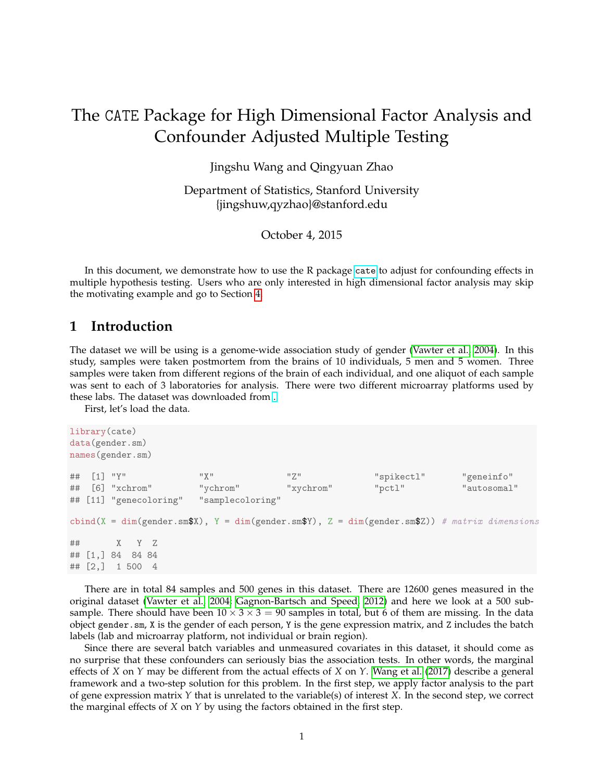# The CATE Package for High Dimensional Factor Analysis and Confounder Adjusted Multiple Testing

Jingshu Wang and Qingyuan Zhao

Department of Statistics, Stanford University {jingshuw,qyzhao}@stanford.edu

October 4, 2015

In this document, we demonstrate how to use the R package [cate](https://cran.r-project.org/web/packages/cate/index.html) to adjust for confounding effects in multiple hypothesis testing. Users who are only interested in high dimensional factor analysis may skip the motivating example and go to Section [4.](#page-4-0)

#### **1 Introduction**

The dataset we will be using is a genome-wide association study of gender [\(Vawter et al., 2004\)](#page-5-0). In this study, samples were taken postmortem from the brains of 10 individuals, 5 men and 5 women. Three samples were taken from different regions of the brain of each individual, and one aliquot of each sample was sent to each of 3 laboratories for analysis. There were two different microarray platforms used by these labs. The dataset was downloaded from [.](http://www-personal.umich.edu/~johanngb/ruv/)

First, let's load the data.

```
library(cate)
data(gender.sm)
names(gender.sm)
## [1] "Y" "X" "Z" "spikectl" "geneinfo"
## [6] "xchrom" "ychrom" "xychrom" "pctl" "autosomal"
## [11] "genecoloring" "samplecoloring"
cbind(X = dim(gender.sm$X), Y = dim(gender.sm$Y), Z = dim(gender.sm$Z)) # matrix dimensions
## X Y Z
## [1,] 84 84 84
## [2,] 1 500 4
```
There are in total 84 samples and 500 genes in this dataset. There are 12600 genes measured in the original dataset [\(Vawter et al., 2004;](#page-5-0) [Gagnon-Bartsch and Speed, 2012\)](#page-5-1) and here we look at a 500 subsample. There should have been  $10 \times 3 \times 3 = 90$  samples in total, but 6 of them are missing. In the data object gender.sm, X is the gender of each person, Y is the gene expression matrix, and Z includes the batch labels (lab and microarray platform, not individual or brain region).

Since there are several batch variables and unmeasured covariates in this dataset, it should come as no surprise that these confounders can seriously bias the association tests. In other words, the marginal effects of *X* on *Y* may be different from the actual effects of *X* on *Y*. [Wang et al.](#page-5-2) [\(2017\)](#page-5-2) describe a general framework and a two-step solution for this problem. In the first step, we apply factor analysis to the part of gene expression matrix *Y* that is unrelated to the variable(s) of interest *X*. In the second step, we correct the marginal effects of *X* on *Y* by using the factors obtained in the first step.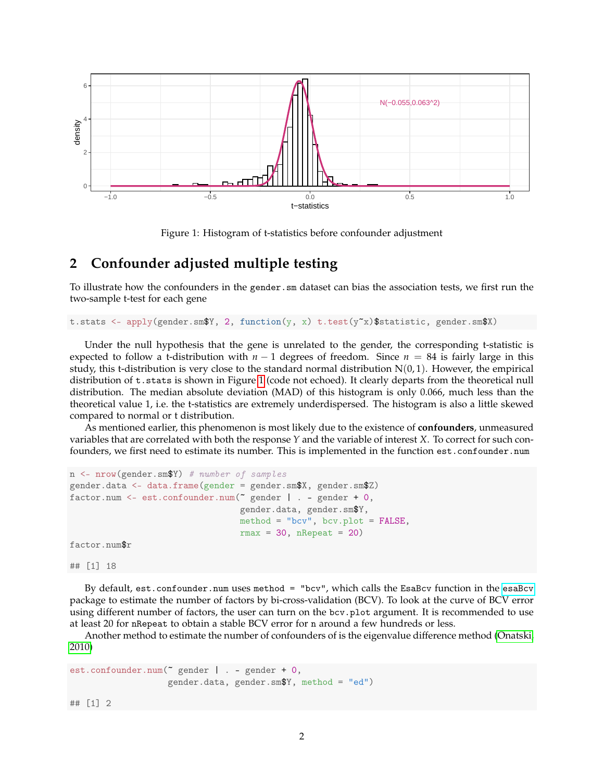

<span id="page-1-0"></span>Figure 1: Histogram of t-statistics before confounder adjustment

#### **2 Confounder adjusted multiple testing**

To illustrate how the confounders in the gender.sm dataset can bias the association tests, we first run the two-sample t-test for each gene

t.stats <- apply(gender.sm\$Y, 2, function(y, x) t.test(y~x)\$statistic, gender.sm\$X)

Under the null hypothesis that the gene is unrelated to the gender, the corresponding t-statistic is expected to follow a t-distribution with  $n - 1$  degrees of freedom. Since  $n = 84$  is fairly large in this study, this t-distribution is very close to the standard normal distribution  $N(0, 1)$ . However, the empirical distribution of t.stats is shown in Figure [1](#page-1-0) (code not echoed). It clearly departs from the theoretical null distribution. The median absolute deviation (MAD) of this histogram is only 0.066, much less than the theoretical value 1, i.e. the t-statistics are extremely underdispersed. The histogram is also a little skewed compared to normal or t distribution.

As mentioned earlier, this phenomenon is most likely due to the existence of **confounders**, unmeasured variables that are correlated with both the response *Y* and the variable of interest *X*. To correct for such confounders, we first need to estimate its number. This is implemented in the function est.confounder.num

```
n <- nrow(gender.sm$Y) # number of samples
gender.data <- data.frame(gender = gender.sm$X, gender.sm$Z)
factor.num <- est.confounder.num(~ gender | . - gender + 0,
                                 gender.data, gender.sm$Y,
                                 method = "bcv", bcv.plot = FALSE,rmax = 30, nRepeat = 20)
factor.num$r
```
## [1] 18

By default, est.confounder.num uses method = "bcv", which calls the EsaBcv function in the [esaBcv](https://cran.r-project.org/web/packages/esaBcv/index.html) package to estimate the number of factors by bi-cross-validation (BCV). To look at the curve of BCV error using different number of factors, the user can turn on the bcv.plot argument. It is recommended to use at least 20 for nRepeat to obtain a stable BCV error for n around a few hundreds or less.

Another method to estimate the number of confounders of is the eigenvalue difference method [\(Onatski,](#page-5-3) [2010\)](#page-5-3)

```
est.confounder.num(~ gender | . - gender + 0,
                   gender.data, gender.sm$Y, method = "ed")
```
## [1] 2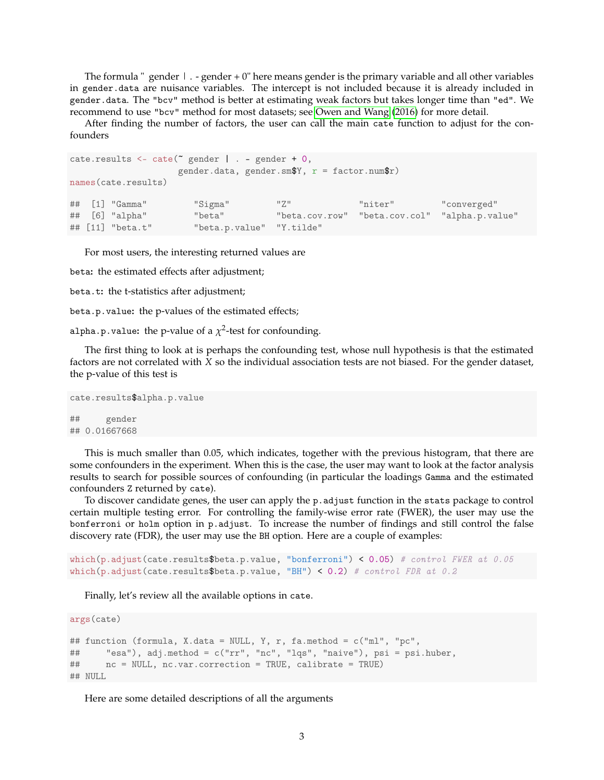The formula " gender  $\vert \cdot \vert$  - gender + 0" here means gender is the primary variable and all other variables in gender.data are nuisance variables. The intercept is not included because it is already included in gender.data. The "bcv" method is better at estimating weak factors but takes longer time than "ed". We recommend to use "bcv" method for most datasets; see [Owen and Wang](#page-5-4) [\(2016\)](#page-5-4) for more detail.

After finding the number of factors, the user can call the main cate function to adjust for the confounders

```
cate.results \leq cate(\in gender | . - gender + 0,
                 gender.data, gender.sm$Y, r = factor .num$r)
names(cate.results)
## [1] "Gamma" "Sigma" "Z" "niter" "converged"
## [6] "alpha" "beta" "beta.cov.row" "beta.cov.col" "alpha.p.value"
## [11] "beta.t" "beta.p.value" "Y.tilde"
```
For most users, the interesting returned values are

beta**:** the estimated effects after adjustment;

beta.t: the t-statistics after adjustment;

beta.p.value**:** the p-values of the estimated effects;

alpha.p.value: the p-value of a  $\chi^2$ -test for confounding.

The first thing to look at is perhaps the confounding test, whose null hypothesis is that the estimated factors are not correlated with *X* so the individual association tests are not biased. For the gender dataset, the p-value of this test is

```
cate.results$alpha.p.value
## gender
## 0.01667668
```
This is much smaller than 0.05, which indicates, together with the previous histogram, that there are some confounders in the experiment. When this is the case, the user may want to look at the factor analysis results to search for possible sources of confounding (in particular the loadings Gamma and the estimated confounders Z returned by cate).

To discover candidate genes, the user can apply the p.adjust function in the stats package to control certain multiple testing error. For controlling the family-wise error rate (FWER), the user may use the bonferroni or holm option in p.adjust. To increase the number of findings and still control the false discovery rate (FDR), the user may use the BH option. Here are a couple of examples:

```
which(p.adjust(cate.results$beta.p.value, "bonferroni") < 0.05) # control FWER at 0.05
which(p.adjust(cate.results$beta.p.value, "BH") < 0.2) # control FDR at 0.2
```
Finally, let's review all the available options in cate.

```
args(cate)
## function (formula, X.data = NULL, Y, r, fa.method = c("ml", "pc",
## "esa"), adj.method = c("rr", "nc", "lqs", "naive"), psi = psi.huber,
## nc = NULL, nc.var.correction = TRUE, calibrate = TRUE)
## NULL
```
Here are some detailed descriptions of all the arguments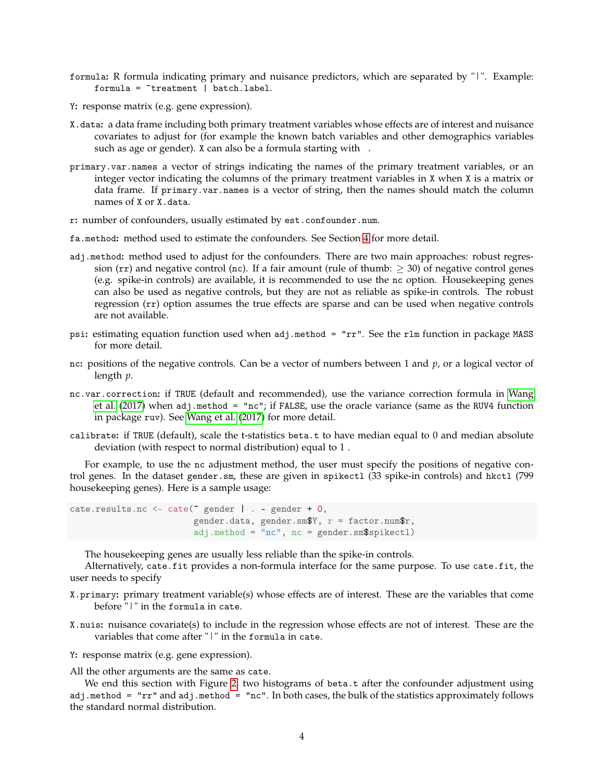- formula**:** R formula indicating primary and nuisance predictors, which are separated by "|". Example:  $formula =  $7$  treatment  $|$  batch-label.$
- Y**:** response matrix (e.g. gene expression).
- X.data**:** a data frame including both primary treatment variables whose effects are of interest and nuisance covariates to adjust for (for example the known batch variables and other demographics variables such as age or gender). X can also be a formula starting with .
- primary.var.names a vector of strings indicating the names of the primary treatment variables, or an integer vector indicating the columns of the primary treatment variables in X when X is a matrix or data frame. If primary.var.names is a vector of string, then the names should match the column names of X or X.data.
- r**:** number of confounders, usually estimated by est.confounder.num.
- fa.method**:** method used to estimate the confounders. See Section [4](#page-4-0) for more detail.
- adj.method**:** method used to adjust for the confounders. There are two main approaches: robust regression (rr) and negative control (nc). If a fair amount (rule of thumb:  $\geq$  30) of negative control genes (e.g. spike-in controls) are available, it is recommended to use the nc option. Housekeeping genes can also be used as negative controls, but they are not as reliable as spike-in controls. The robust regression (rr) option assumes the true effects are sparse and can be used when negative controls are not available.
- psi**:** estimating equation function used when adj.method = "rr". See the rlm function in package MASS for more detail.
- nc**:** positions of the negative controls. Can be a vector of numbers between 1 and *p*, or a logical vector of length *p*.
- nc.var.correction**:** if TRUE (default and recommended), use the variance correction formula in [Wang](#page-5-2) [et al.](#page-5-2) [\(2017\)](#page-5-2) when adj.method = "nc"; if FALSE, use the oracle variance (same as the RUV4 function in package ruv). See [Wang et al.](#page-5-2) [\(2017\)](#page-5-2) for more detail.
- calibrate**:** if TRUE (default), scale the t-statistics beta.t to have median equal to 0 and median absolute deviation (with respect to normal distribution) equal to 1 .

For example, to use the nc adjustment method, the user must specify the positions of negative control genes. In the dataset gender.sm, these are given in spikectl (33 spike-in controls) and hkctl (799 housekeeping genes). Here is a sample usage:

 $\text{cate}.\text{results}.\text{nc} \leq \text{cate}(\text{space} \mid . - \text{gender} + 0,$ gender.data, gender.sm\$Y,  $r =$  factor.num\$r,  $adj.method = "nc", nc = gender.sm$spikectl)$ 

The housekeeping genes are usually less reliable than the spike-in controls.

Alternatively, cate.fit provides a non-formula interface for the same purpose. To use cate.fit, the user needs to specify

- X.primary**:** primary treatment variable(s) whose effects are of interest. These are the variables that come before "|" in the formula in cate.
- X.nuis**:** nuisance covariate(s) to include in the regression whose effects are not of interest. These are the variables that come after "|" in the formula in cate.
- Y**:** response matrix (e.g. gene expression).

All the other arguments are the same as cate.

We end this section with Figure [2,](#page-4-1) two histograms of beta.t after the confounder adjustment using adj.method = "rr" and adj.method = "nc". In both cases, the bulk of the statistics approximately follows the standard normal distribution.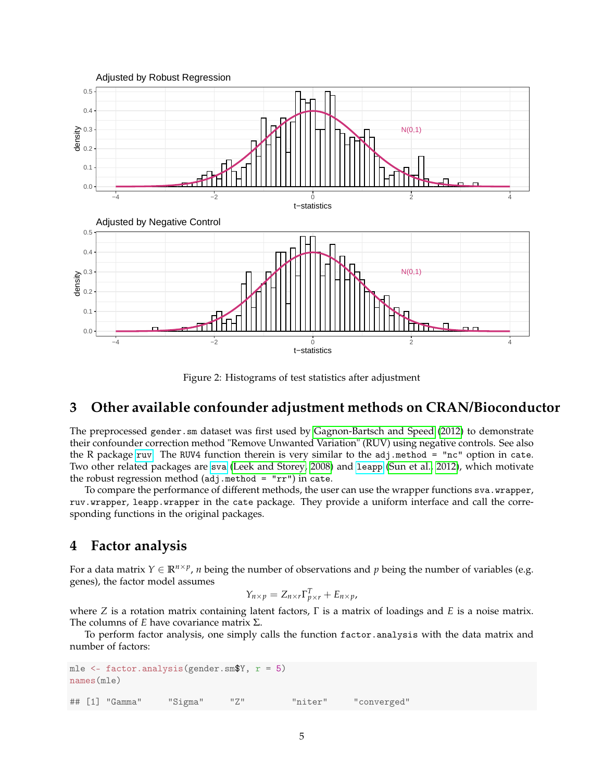

<span id="page-4-1"></span>Figure 2: Histograms of test statistics after adjustment

## **3 Other available confounder adjustment methods on CRAN/Bioconductor**

The preprocessed gender.sm dataset was first used by [Gagnon-Bartsch and Speed](#page-5-1) [\(2012\)](#page-5-1) to demonstrate their confounder correction method "Remove Unwanted Variation" (RUV) using negative controls. See also the R package [ruv](https://cran.r-project.org/web/packages/ruv/index.html). The RUV4 function therein is very similar to the adj.method = "nc" option in cate. Two other related packages are [sva](https://www.bioconductor.org/packages/release/bioc/html/sva.html) [\(Leek and Storey, 2008\)](#page-5-5) and [leapp](https://cran.r-project.org/web/packages/leapp/index.html) [\(Sun et al., 2012\)](#page-5-6), which motivate the robust regression method  $(adj.method = "rr")$  in cate.

To compare the performance of different methods, the user can use the wrapper functions sva.wrapper, ruv.wrapper, leapp.wrapper in the cate package. They provide a uniform interface and call the corresponding functions in the original packages.

### <span id="page-4-0"></span>**4 Factor analysis**

For a data matrix  $Y \in \mathbb{R}^{n \times p}$ , *n* being the number of observations and *p* being the number of variables (e.g. genes), the factor model assumes

$$
Y_{n\times p} = Z_{n\times r}\Gamma_{p\times r}^T + E_{n\times p},
$$

where *Z* is a rotation matrix containing latent factors, Γ is a matrix of loadings and *E* is a noise matrix. The columns of *E* have covariance matrix Σ.

To perform factor analysis, one simply calls the function factor.analysis with the data matrix and number of factors:

```
mle \leq factor.analysis(gender.sm$Y, r = 5)
names(mle)
## [1] "Gamma" "Sigma" "Z" "niter" "converged"
```